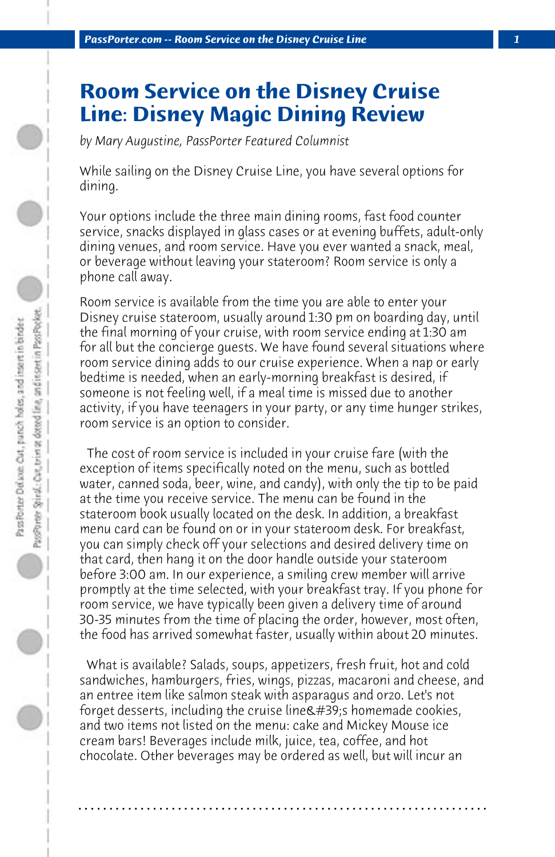## **Room Service on the Disney Cruise Line: Disney Magic Dining Review**

*by Mary Augustine, PassPorter Featured Columnist*

While sailing on the Disney Cruise Line, you have several options for dining.

Your options include the three main dining rooms, fast food counter service, snacks displayed in glass cases or at evening buffets, adult-only dining venues, and room service. Have you ever wanted a snack, meal, or beverage without leaving your stateroom? Room service is only a phone call away.

Room service is available from the time you are able to enter your Disney cruise stateroom, usually around 1:30 pm on boarding day, until the final morning of your cruise, with room service ending at 1:30 am for all but the concierge guests. We have found several situations where room service dining adds to our cruise experience. When a nap or early bedtime is needed, when an early-morning breakfast is desired, if someone is not feeling well, if a meal time is missed due to another activity, if you have teenagers in your party, or any time hunger strikes, room service is an option to consider.

 The cost of room service is included in your cruise fare (with the exception of items specifically noted on the menu, such as bottled water, canned soda, beer, wine, and candy), with only the tip to be paid at the time you receive service. The menu can be found in the stateroom book usually located on the desk. In addition, a breakfast menu card can be found on or in your stateroom desk. For breakfast, you can simply check off your selections and desired delivery time on that card, then hang it on the door handle outside your stateroom before 3:00 am. In our experience, a smiling crew member will arrive promptly at the time selected, with your breakfast tray. If you phone for room service, we have typically been given a delivery time of around 30-35 minutes from the time of placing the order, however, most often, the food has arrived somewhat faster, usually within about 20 minutes.

 What is available? Salads, soups, appetizers, fresh fruit, hot and cold sandwiches, hamburgers, fries, wings, pizzas, macaroni and cheese, and an entree item like salmon steak with asparagus and orzo. Let's not forget desserts, including the cruise line's homemade cookies, and two items not listed on the menu: cake and Mickey Mouse ice cream bars! Beverages include milk, juice, tea, coffee, and hot chocolate. Other beverages may be ordered as well, but will incur an

**. . . . . . . . . . . . . . . . . . . . . . . . . . . . . . . . . . . . . . . . . . . . . . . . . . . . . . . . . . . . . . . . . .**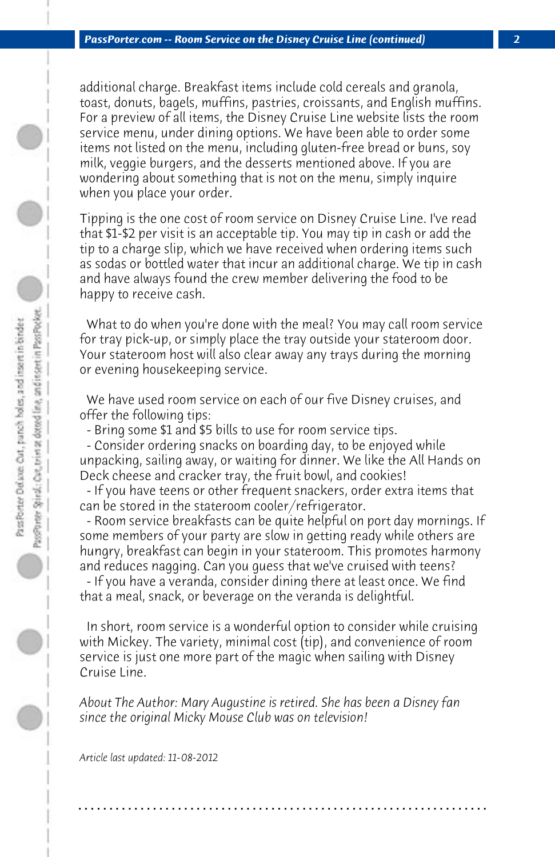additional charge. Breakfast items include cold cereals and granola, toast, donuts, bagels, muffins, pastries, croissants, and English muffins. For a preview of all items, the Disney Cruise Line website lists the room service menu, under dining options. We have been able to order some items not listed on the menu, including gluten-free bread or buns, soy milk, veggie burgers, and the desserts mentioned above. If you are wondering about something that is not on the menu, simply inquire when you place your order.

Tipping is the one cost of room service on Disney Cruise Line. I've read that \$1-\$2 per visit is an acceptable tip. You may tip in cash or add the tip to a charge slip, which we have received when ordering items such as sodas or bottled water that incur an additional charge. We tip in cash and have always found the crew member delivering the food to be happy to receive cash.

 What to do when you're done with the meal? You may call room service for tray pick-up, or simply place the tray outside your stateroom door. Your stateroom host will also clear away any trays during the morning or evening housekeeping service.

 We have used room service on each of our five Disney cruises, and offer the following tips:

 - Bring some \$1 and \$5 bills to use for room service tips.

 - Consider ordering snacks on boarding day, to be enjoyed while unpacking, sailing away, or waiting for dinner. We like the All Hands on Deck cheese and cracker tray, the fruit bowl, and cookies!

 - If you have teens or other frequent snackers, order extra items that can be stored in the stateroom cooler/refrigerator.

 - Room service breakfasts can be quite helpful on port day mornings. If some members of your party are slow in getting ready while others are hungry, breakfast can begin in your stateroom. This promotes harmony and reduces nagging. Can you guess that we've cruised with teens?

 - If you have a veranda, consider dining there at least once. We find that a meal, snack, or beverage on the veranda is delightful.

 In short, room service is a wonderful option to consider while cruising with Mickey. The variety, minimal cost (tip), and convenience of room service is just one more part of the magic when sailing with Disney Cruise Line.

*About The Author: Mary Augustine is retired. She has been a Disney fan since the original Micky Mouse Club was on television!*

**. . . . . . . . . . . . . . . . . . . . . . . . . . . . . . . . . . . . . . . . . . . . . . . . . . . . . . . . . . . . . . . . . .**

*Article last updated: 11-08-2012*